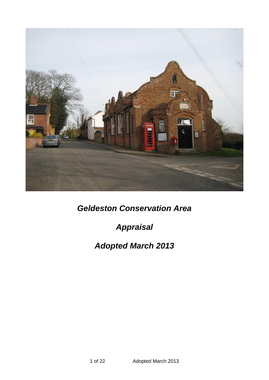

*Geldeston Conservation Area*

*Appraisal*

# *Adopted March 2013*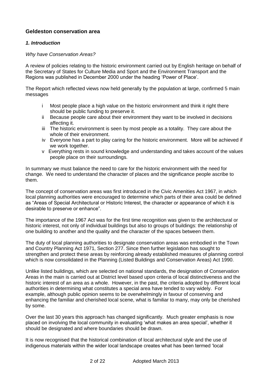# **Geldeston conservation area**

# *1. Introduction*

## *Why have Conservation Areas?*

A review of policies relating to the historic environment carried out by English heritage on behalf of the Secretary of States for Culture Media and Sport and the Environment Transport and the Regions was published in December 2000 under the heading 'Power of Place'.

The Report which reflected views now held generally by the population at large, confirmed 5 main messages

- i Most people place a high value on the historic environment and think it right there should be public funding to preserve it.
- ii Because people care about their environment they want to be involved in decisions affecting it.
- iii The historic environment is seen by most people as a totality. They care about the whole of their environment.
- iv Everyone has a part to play caring for the historic environment. More will be achieved if we work together.
- v Everything rests in sound knowledge and understanding and takes account of the values people place on their surroundings.

In summary we must balance the need to care for the historic environment with the need for change. We need to understand the character of places and the significance people ascribe to them.

The concept of conservation areas was first introduced in the Civic Amenities Act 1967, in which local planning authorities were encouraged to determine which parts of their area could be defined as "Areas of Special Architectural or Historic Interest, the character or appearance of which it is desirable to preserve or enhance".

The importance of the 1967 Act was for the first time recognition was given to the architectural or historic interest, not only of individual buildings but also to groups of buildings: the relationship of one building to another and the quality and the character of the spaces between them.

The duty of local planning authorities to designate conservation areas was embodied in the Town and Country Planning Act 1971, Section 277. Since then further legislation has sought to strengthen and protect these areas by reinforcing already established measures of planning control which is now consolidated in the Planning (Listed Buildings and Conservation Areas) Act 1990.

Unlike listed buildings, which are selected on national standards, the designation of Conservation Areas in the main is carried out at District level based upon criteria of local distinctiveness and the historic interest of an area as a whole. However, in the past, the criteria adopted by different local authorities in determining what constitutes a special area have tended to vary widely. For example, although public opinion seems to be overwhelmingly in favour of conserving and enhancing the familiar and cherished local scene, what is familiar to many, may only be cherished by some.

Over the last 30 years this approach has changed significantly. Much greater emphasis is now placed on involving the local community in evaluating 'what makes an area special', whether it should be designated and where boundaries should be drawn.

It is now recognised that the historical combination of local architectural style and the use of indigenous materials within the wider local landscape creates what has been termed 'local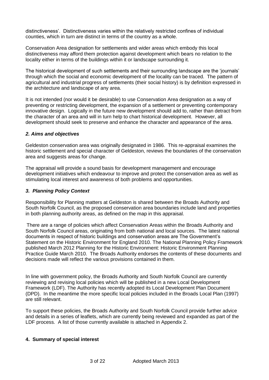distinctiveness'. Distinctiveness varies within the relatively restricted confines of individual counties, which in turn are distinct in terms of the country as a whole.

Conservation Area designation for settlements and wider areas which embody this local distinctiveness may afford them protection against development which bears no relation to the locality either in terms of the buildings within it or landscape surrounding it.

The historical development of such settlements and their surrounding landscape are the 'journals' through which the social and economic development of the locality can be traced. The pattern of agricultural and industrial progress of settlements (their social history) is by definition expressed in the architecture and landscape of any area.

It is not intended (nor would it be desirable) to use Conservation Area designation as a way of preventing or restricting development, the expansion of a settlement or preventing contemporary innovative design. Logically in the future new development should add to, rather than detract from the character of an area and will in turn help to chart historical development. However, all development should seek to preserve and enhance the character and appearance of the area.

# *2. Aims and objectives*

Geldeston conservation area was originally designated in 1986. This re-appraisal examines the historic settlement and special character of Geldeston, reviews the boundaries of the conservation area and suggests areas for change.

The appraisal will provide a sound basis for development management and encourage development initiatives which endeavour to improve and protect the conservation area as well as stimulating local interest and awareness of both problems and opportunities.

## *3. Planning Policy Context*

Responsibility for Planning matters at Geldeston is shared between the Broads Authority and South Norfolk Council, as the proposed conservation area boundaries include land and properties in both planning authority areas, as defined on the map in this appraisal.

There are a range of policies which affect Conservation Areas within the Broads Authority and South Norfolk Council areas, originating from both national and local sources. The latest national documents in respect of historic buildings and conservation areas are The Government's Statement on the Historic Environment for England 2010. The National Planning Policy Framework published March 2012 Planning for the Historic Environment: Historic Environment Planning Practice Guide March 2010. The Broads Authority endorses the contents of these documents and decisions made will reflect the various provisions contained in them.

In line with government policy, the Broads Authority and South Norfolk Council are currently reviewing and revising local policies which will be published in a new Local Development Framework (LDF). The Authority has recently adopted its Local Development Plan Document (DPD). In the meantime the more specific local policies included in the Broads Local Plan (1997) are still relevant.

To support these policies, the Broads Authority and South Norfolk Council provide further advice and details in a series of leaflets, which are currently being reviewed and expanded as part of the LDF process. A list of those currently available is attached in Appendix 2.

## **4. Summary of special interest**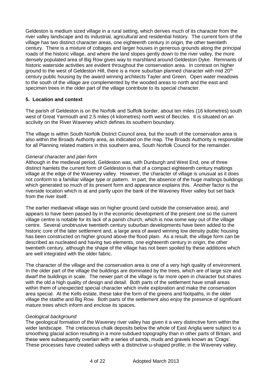Geldeston is medium sized village in a rural setting, which derives much of its character from the river valley landscape and its industrial, agricultural and residential history. The current form of the village has two distinct character areas, one eighteenth century in origin, the other twentieth century. There is a mixture of cottages and larger houses in generous grounds along the principal roads of the historic village, and where the land slopes gently down to the river valley, the more densely populated area of Big Row gives way to marshland around Geldeston Dyke. Remnants of historic waterside activities are evident throughout the conservation area. In contrast on higher ground to the west of Geldeston Hill, there is a more suburban planned character with mid  $20<sup>th</sup>$ century public housing by the award winning architects Tayler and Green. Open water meadows to the south of the village are complemented by the wooded areas to north and the east and specimen trees in the older part of the village contribute to its special character.

# **5. Location and context**

The parish of Geldeston is on the Norfolk and Suffolk border, about ten miles (16 kilometres) south west of Great Yarmouth and 2.5 miles (4 kilometres) north west of Beccles. It is situated on an acclivity on the River Waveney which defines its southern boundary.

The village is within South Norfolk District Council area, but the south of the conservation area is also within the Broads Authority area, as indicated on the map. The Broads Authority is responsible for all Planning related matters in this southern area, South Norfolk Council for the remainder.

## *General character and plan form*

Although in the medieval period, Geldeston was, with Dunburgh and West End, one of three distinct hamlets the current form of Geldeston is that of a compact eighteenth century maltings village at the edge of the Waveney valley. However, the character of village is unusual as it does not conform to a familiar village type or pattern. In part, the absence of the huge maltings buildings which generated so much of its present form and appearance explains this. Another factor is the riverside location which is at and partly upon the bank of the Waveney River valley but set back from the river itself.

The earlier mediaeval village was on higher ground (and outside the conservation area), and appears to have been passed by in the economic development of the present one so the current village centre is notable for its lack of a parish church, which is now some way out of the village centre. Several unobtrusive twentieth century suburban developments have been added to the historic core of the later settlement and, a large area of award winning low density public housing has been constructed on higher ground above the flood plain. As a result, the village form can be described as nucleated and having two elements, one eighteenth century in origin, the other twentieth century, although the shape of the village has not been spoiled by these additions which are well integrated with the older fabric.

The character of the village and the conservation area is one of a very high quality of environment. In the older part of the village the buildings are dominated by the trees, which are of large size and dwarf the buildings in scale. The newer part of the village is far more open in character but shares with the old a high quality of design and detail. Both parts of the settlement have small areas within them of unexpected special character which invite exploration and make the conservation area special. At the Kells estate, these take the form of the greens and footpaths, in the older village the staithe and Big Row. Both parts of the settlement also enjoy the presence of significant mature trees which inform and enclose its spaces.

#### *Geological background*

The geological formation of the Waveney river valley has given it a very distinctive form within the wider landscape. The cretaceous chalk deposits below the whole of East Anglia were subject to a smoothing glacial action resulting in a more subdued topography than in other parts of Britain, and these were subsequently overlain with a series of sands, muds and gravels known as 'Crags'. These processes have created valleys with a distinctive u-shaped profile; in the Waveney valley,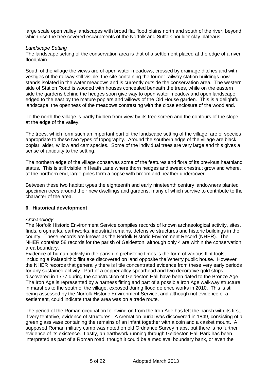large scale open valley landscapes with broad flat flood plains north and south of the river, beyond which rise the tree covered escarpments of the Norfolk and Suffolk boulder clay plateaus.

## *Landscape Setting*

The landscape setting of the conservation area is that of a settlement placed at the edge of a river floodplain.

South of the village the views are of open water meadows, crossed by drainage ditches and with vestiges of the railway still visible; the site containing the former railway station buildings now stands isolated in the water meadows and is currently outside the conservation area. The western side of Station Road is wooded with houses concealed beneath the trees, while on the eastern side the gardens behind the hedges soon give way to open water meadow and open landscape edged to the east by the mature poplars and willows of the Old House garden. This is a delightful landscape, the openness of the meadows contrasting with the close enclosure of the woodland.

To the north the village is partly hidden from view by its tree screen and the contours of the slope at the edge of the valley.

The trees, which form such an important part of the landscape setting of the village, are of species appropriate to these two types of topography. Around the southern edge of the village are black poplar, alder, willow and carr species. Some of the individual trees are very large and this gives a sense of antiquity to the setting.

The northern edge of the village conserves some of the features and flora of its previous heathland status. This is still visible in Heath Lane where thorn hedges and sweet chestnut grow and where, at the northern end, large pines form a copse with broom and heather undercover.

Between these two habitat types the eighteenth and early nineteenth century landowners planted specimen trees around their new dwellings and gardens, many of which survive to contribute to the character of the area.

## **6. Historical development**

#### *Archaeology*

The Norfolk Historic Environment Service compiles records of known archaeological activity, sites, finds, cropmarks, earthworks, industrial remains, defensive structures and historic buildings in the county. These records are known as the Norfolk Historic Environment Record (NHER). The NHER contains 58 records for the parish of Geldeston, although only 4 are within the conservation area boundary.

Evidence of human activity in the parish in prehistoric times is the form of various flint tools, including a Palaeolithic flint axe discovered on land opposite the Wherry public house. However the NHER records that generally there is little concentrated evidence from these very early periods for any sustained activity. Part of a copper alloy spearhead and two decorative gold strips, discovered in 1777 during the construction of Geldeston Hall have been dated to the Bronze Age. The Iron Age is represented by a harness fitting and part of a possible Iron Age walkway structure in marshes to the south of the village, exposed during flood defence works in 2010. This is still being assessed by the Norfolk Historic Environment Service, and although not evidence of a settlement, could indicate that the area was on a trade route.

The period of the Roman occupation following on from the Iron Age has left the parish with its first, if very tentative, evidence of structures. A cremation burial was discovered in 1849, consisting of a green glass vase containing the remains of an infant together with a coin and a casket mount. A supposed Roman military camp was noted on old Ordnance Survey maps, but there is no further evidence of its existence. Lastly, an earthwork running through Geldeston Hall Park has been interpreted as part of a Roman road, though it could be a medieval boundary bank, or even the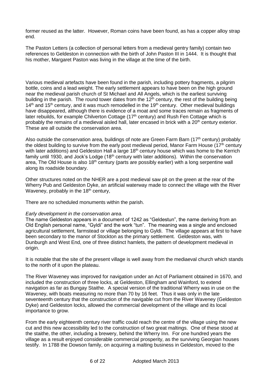former reused as the latter. However, Roman coins have been found, as has a copper alloy strap end.

The Paston Letters (a collection of personal letters from a medieval gentry family) contain two references to Geldeston in connection with the birth of John Paston III in 1444. It is thought that his mother, Margaret Paston was living in the village at the time of the birth.

Various medieval artefacts have been found in the parish, including pottery fragments, a pilgrim bottle, coins and a lead weight. The early settlement appears to have been on the high ground near the medieval parish church of St Michael and All Angels, which is the earliest surviving building in the parish. The round tower dates from the  $12<sup>th</sup>$  century, the rest of the building being  $14<sup>th</sup>$  and  $15<sup>th</sup>$  century, and it was much remodelled in the  $19<sup>th</sup>$  century. Other medieval buildings have disappeared, although there is evidence of a moat and some traces remain as fragments of later rebuilds, for example Chilverton Cottage ( $17<sup>th</sup>$  century) and Rush Fen Cottage which is probably the remains of a medieval aisled hall, later encased in brick with a 20<sup>th</sup> century exterior. These are all outside the conservation area.

Also outside the conservation area, buildings of note are Green Farm Barn (17<sup>th</sup> century) probably the oldest building to survive from the early post medieval period, Manor Farm House  $(17<sup>th</sup>$  century with later additions) and Geldeston Hall a large 18<sup>th</sup> century house which was home to the Kerrich family until 1930, and Jock's Lodge (18<sup>th</sup> century with later additions). Within the conservation area, The Old House is also 18<sup>th</sup> century (parts are possibly earlier) with a long serpentine wall along its roadside boundary.

Other structures noted on the NHER are a post medieval saw pit on the green at the rear of the Wherry Pub and Geldeston Dyke, an artificial waterway made to connect the village with the River Waveney, probably in the  $18<sup>th</sup>$  century,

There are no scheduled monuments within the parish.

## *Early development in the conservation area.*

The name Geldeston appears in a document of 1242 as "Geldestun", the name deriving from an Old English personal name, "Gyldi" and the work "tun". The meaning was a single and enclosed agricultural settlement, farmstead or village belonging to Gyldi. The village appears at first to have been secondary to the manor of Stockton as the primary settlement. Geldeston was, with Dunburgh and West End, one of three distinct hamlets, the pattern of development medieval in origin.

It is notable that the site of the present village is well away from the mediaeval church which stands to the north of it upon the plateau.

The River Waveney was improved for navigation under an Act of Parliament obtained in 1670, and included the construction of three locks, at Geldeston, Ellingham and Wainford, to extend navigation as far as Bungay Staithe. A special version of the traditional Wherry was in use on the Waveney, with boats measuring no more than 70 by 16 feet. Thus it was only in the late seventeenth century that the construction of the navigable cut from the River Waveney (Geldeston Dyke) and Geldeston locks, allowed the commercial development of the village and its local importance to grow.

From the early eighteenth century river traffic could reach the centre of the village using the new cut and this new accessibility led to the construction of two great maltings. One of these stood at the staithe, the other, including a brewery, behind the Wherry Inn. For one hundred years the village as a result enjoyed considerable commercial prosperity, as the surviving Georgian houses testify. In 1788 the Dowson family, on acquiring a malting business in Geldeston, moved to the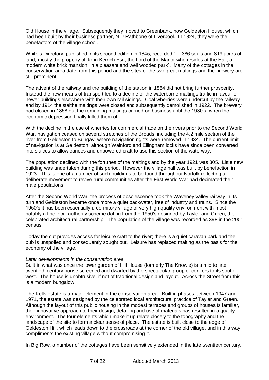Old House in the village. Subsequently they moved to Greenbank, now Geldeston House, which had been built by their business partner, N U Rathbone of Liverpool. In 1824, they were the benefactors of the village school.

White's Directory, published in its second edition in 1845, recorded "… 386 souls and 819 acres of land, mostly the property of John Kerrich Esq, the Lord of the Manor who resides at the Hall, a modern white brick mansion, in a pleasant and well wooded park". Many of the cottages in the conservation area date from this period and the sites of the two great maltings and the brewery are still prominent.

The advent of the railway and the building of the station in 1864 did not bring further prosperity. Instead the new means of transport led to a decline of the waterborne maltings traffic in favour of newer buildings elsewhere with their own rail sidings. Coal wherries were undercut by the railway and by 1914 the staithe maltings were closed and subsequently demolished in 1922. The brewery had closed in 1858 but the remaining maltings carried on business until the 1930's, when the economic depression finally killed them off.

With the decline in the use of wherries for commercial trade on the rivers prior to the Second World War, navigation ceased on several stretches of the Broads, including the 4.2 mile section of the river from Geldeston to Bungay, where navigation rights were removed in 1934. The current limit of navigation is at Geldeston, although Wainford and Ellingham locks have since been converted into sluices to allow canoes and unpowered craft to use this section of the waterway.

The population declined with the fortunes of the maltings and by the year 1921 was 305. Little new building was undertaken during this period. However the village hall was built by benefaction in 1923. This is one of a number of such buildings to be found throughout Norfolk reflecting a deliberate movement to revive rural communities after the First World War had decimated their male populations.

After the Second World War, the process of obsolescence took the Waveney valley railway in its turn and Geldeston became once more a quiet backwater, free of industry and trains. Since the 1950's it has been essentially a dormitory village of very high quality environment with most notably a fine local authority scheme dating from the 1950's designed by Tayler and Green, the celebrated architectural partnership. The population of the village was recorded as 398 in the 2001 census.

Today the cut provides access for leisure craft to the river; there is a quiet caravan park and the pub is unspoiled and consequently sought out. Leisure has replaced malting as the basis for the economy of the village.

## *Later developments in the conservation area*

Built in what was once the lower garden of Hill House (formerly The Knowle) is a mid to late twentieth century house screened and dwarfed by the spectacular group of conifers to its south west. The house is unobtrusive, if not of traditional design and layout. Across the Street from this is a modern bungalow.

The Kells estate is a major element in the conservation area. Built in phases between 1947 and 1971, the estate was designed by the celebrated local architectural practice of Tayler and Green. Although the layout of this public housing in the modest terraces and groups of houses is familiar, their innovative approach to their design, detailing and use of materials has resulted in a quality environment. The four elements which make it up relate closely to the topography and the landscape of the site to form a clear sense of place. The estate is built close to the edge of Geldeston Hill, which leads down to the crossroads at the corner of the old village, and in this way compliments the existing village without compromising it.

In Big Row, a number of the cottages have been sensitively extended in the late twentieth century.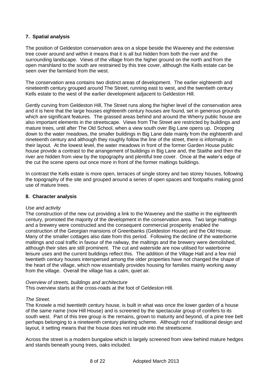# **7. Spatial analysis**

The position of Geldeston conservation area on a slope beside the Waveney and the extensive tree cover around and within it means that it is all but hidden from both the river and the surrounding landscape. Views of the village from the higher ground on the north and from the open marshland to the south are restrained by this tree cover, although the Kells estate can be seen over the farmland from the west.

The conservation area contains two distinct areas of development. The earlier eighteenth and nineteenth century grouped around The Street, running east to west, and the twentieth century Kells estate to the west of the earlier development adjacent to Geldeston Hill.

Gently curving from Geldeston Hill, The Street runs along the higher level of the conservation area and it is here that the large houses eighteenth century houses are found, set in generous grounds which are significant features. The grassed areas behind and around the Wherry public house are also important elements in the streetscape. Views from The Street are restricted by buildings and mature trees, until after The Old School, when a view south over Big Lane opens up. Dropping down to the water meadows, the smaller buildings in Big Lane date mainly from the eighteenth and nineteenth century and although they roughly follow the line of the street, there is informality in their layout. At the lowest level, the water meadows in front of the former Garden House public house provide a contrast to the arrangement of buildings in Big Lane and, the Staithe and then the river are hidden from view by the topography and plentiful tree cover. Once at the water's edge of the cut the scene opens out once more in front of the former maltings buildings.

In contrast the Kells estate is more open, terraces of single storey and two storey houses, following the topography of the site and grouped around a series of open spaces and footpaths making good use of mature trees.

## **8. Character analysis**

#### *Use and activity*

The construction of the new cut providing a link to the Waveney and the staithe in the eighteenth century, promoted the majority of the development in the conservation area. Two large maltings and a brewery were constructed and the consequent commercial prosperity enabled the construction of the Georgian mansions of Greenbanks (Geldeston House) and the Old House. Many of the smaller cottages also date from this period. Following the decline of the waterborne maltings and coal traffic in favour of the railway, the maltings and the brewery were demolished, although their sites are still prominent. The cut and waterside are now utilised for waterborne leisure uses and the current buildings reflect this. The addition of the Village Hall and a few mid twentieth century houses interspersed among the older properties have not changed the shape of the heart of the village, which now essentially provides housing for families mainly working away from the village. Overall the village has a calm, quiet air.

#### *Overview of streets, buildings and architecture*

This overview starts at the cross-roads at the foot of Geldeston Hill.

#### *The Street.*

The Knowle a mid twentieth century house, is built in what was once the lower garden of a house of the same name (now Hill House) and is screened by the spectacular group of conifers to its south west. Part of this tree group is the remains, grown to maturity and beyond, of a pine tree belt perhaps belonging to a nineteenth century planting scheme. Although not of traditional design and layout, it setting means that the house does not intrude into the streetscene.

Across the street is a modern bungalow which is largely screened from view behind mature hedges and stands beneath young trees, oaks included.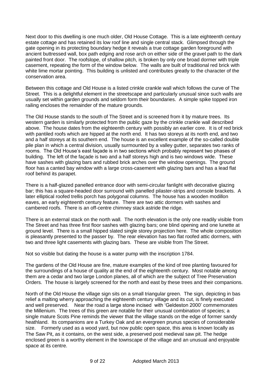Next door to this dwelling is one much older, Old House Cottage. This is a late eighteenth century estate cottage and has retained its low roof line and single central stack. Glimpsed through the gate opening in its protecting boundary hedge it reveals a true cottage garden foreground with ancient buttressed wall, box path edging and rose arch on either side of the gravel path to the dark painted front door. The roofslope, of shallow pitch, is broken by only one broad dormer with triple casement, repeating the form of the window below. The walls are built of traditional red brick with white lime mortar pointing. This building is unlisted and contributes greatly to the character of the conservation area.

Between this cottage and Old House is a listed crinkle crankle wall which follows the curve of The Street. This is a delightful element in the streetscape and particularly unusual since such walls are usually set within garden grounds and seldom form their boundaries. A simple spike topped iron railing encloses the remainder of the mature grounds.

The Old House stands to the south of The Street and is screened from it by mature trees. Its western garden is similarly protected from the public gaze by the crinkle crankle wall described above. The house dates from the eighteenth century with possibly an earlier core. It is of red brick with pantiled roofs which are hipped at the north end. It has two storeys at its north end, and two and a half storeys at its southern end. The house is an excellent example of the so-called double pile plan in which a central division, usually surmounted by a valley gutter, separates two ranks of rooms. The Old House's east façade is in two sections which probably represent two phases of building. The left of the façade is two and a half storeys high and is two windows wide. These have sashes with glazing bars and rubbed brick arches over the window openings. The ground floor has a canted bay window with a large cross-casement with glazing bars and has a lead flat roof behind its parapet.

There is a half-glazed panelled entrance door with semi-circular fanlight with decorative glazing bar; this has a square-headed door surround with panelled pilaster-strips and console brackets. A later elliptical roofed trellis porch has polygonal columns. The house has a wooden modillon eaves, an early eighteenth century feature. There are two attic dormers with sashes and cambered roofs. There is an off-centre chimney stack astride the ridge.

There is an external stack on the north wall. The north elevation is the only one readily visible from The Street and has three first floor sashes with glazing bars; one blind opening and one lunette at ground level. There is a small hipped slated single storey projection here. The whole composition is pleasantly presented to the passer by. The rear elevation has two flat roofed attic dormers, with two and three light casements with glazing bars. These are visible from The Street.

Not so visible but dating the house is a water pump with the inscription 1784.

The gardens of the Old House are fine, mature examples of the kind of tree planting favoured for the surroundings of a house of quality at the end of the eighteenth century. Most notable among them are a cedar and two large London planes, all of which are the subject of Tree Preservation Orders. The house is largely screened for the north and east by these trees and their companions.

North of the Old House the village sign sits on a small triangular green. The sign, depicting in bas relief a malting wherry approaching the eighteenth century village and its cut, is finely executed and well preserved. Near the road a large stone incised with 'Geldeston 2000' commemorates the Millenium. The trees of this green are notable for their unusual combination of species; a single mature Scots Pine reminds the viewer that the village stands on the edge of former sandy heathland. Its companions are a Turkey Oak and an evergreen prunus species of considerable size. Formerly used as a wood yard, but now public open space, this area is known locally as The Saw Pit, as it contains, on the west side, a preserved post medieval saw pit. The hedge enclosed green is a worthy element in the townscape of the village and an unusual and enjoyable space at its centre.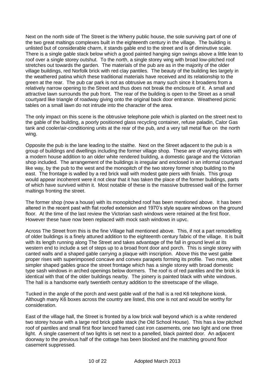Next on the north side of The Street is the Wherry public house, the sole surviving part of one of the two great maltings complexes built in the eighteenth century in the village. The building is unlisted but of considerable charm, it stands gable end to the street and is of diminutive scale. There is a single gable stack below which a good painted hanging sign swings above a little lean to roof over a single storey outshut. To the north, a single storey wing with broad low-pitched roof stretches out towards the garden. The materials of the pub are as in the majority of the older village buildings, red Norfolk brick with red clay pantiles. The beauty of the building lies largely in the weathered patina which these traditional materials have received and its relationship to the green at the rear. The pub car park is not as obtrusive as many such since it broadens from a relatively narrow opening to the Street and thus does not break the enclosure of it. A small and attractive lawn surrounds the pub front. The rear of the building is open to the Street as a small courtyard like triangle of roadway giving onto the original back door entrance. Weathered picnic tables on a small lawn do not intrude into the character of the area.

The only impact on this scene is the obtrusive telephone pole which is planted on the street next to the gable of the building, a poorly positioned glass recycling container, refuse paladin, Calor Gas tank and cooler/air-conditioning units at the rear of the pub, and a very tall metal flue on the north wing.

Opposite the pub is the lane leading to the staithe. Next on the Street adjacent to the pub is a group of buildings and dwellings including the former village shop. These are of varying dates with a modern house addition to an older white rendered building, a domestic garage and the Victorian shop included. The arrangement of the buildings is irregular and enclosed in an informal courtyard like way, by the pub to the west and the monopitch of the two storey former shop building to the east. The frontage is walled by a red brick wall with modest gate piers with finials. This group would appear incoherent were it not clear that it has taken the place of the former buildings, parts of which have survived within it. Most notable of these is the massive buttressed wall of the former maltings fronting the street.

The former shop (now a house) with its monopitched roof has been mentioned above. It has been altered in the recent past with flat roofed extension and 1970's style square windows on the ground floor. At the time of the last review the Victorian sash windows were retained at the first floor. However these have now been replaced with mock sash windows in upvc.

Across The Street from this is the fine Village hall mentioned above. This, if not a part remodelling of older buildings is a finely attuned addition to the eighteenth century fabric of the village. It is built with its length running along The Street and takes advantage of the fall in ground level at its western end to include a set of steps up to a broad front door and porch. This is single storey with canted walls and a shaped gable carrying a plaque with inscription. Above this the west gable proper rises with superimposed concave and convex parapets forming its profile. Two more, albeit simpler shaped gables grace the street frontage which has a single storey with broad domestic type sash windows in arched openings below dormers. The roof is of red pantiles and the brick is identical with that of the older buildings nearby. The joinery is painted black with white windows. The hall is a handsome early twentieth century addition to the streetscape of the village.

Tucked in the angle of the porch and west gable wall of the hall is a red K6 telephone kiosk. Although many K6 boxes across the country are listed, this one is not and would be worthy for consideration.

East of the village hall, the Street is fronted by a low brick wall beyond which is a white rendered two storey house with a large red brick gable stack (he Old School House). This has a low pitched roof of pantiles and small first floor lanced framed cast iron casements, one two light and one three light. A single casement of two lights is set next to a panelled, black painted door. An adjacent doorway to the previous half of the cottage has been blocked and the matching ground floor casement suppressed.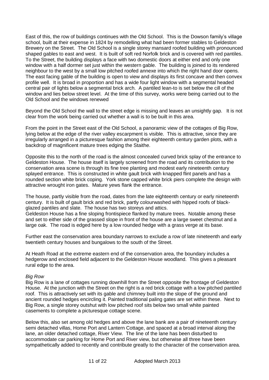East of this, the row of buildings continues with the Old School. This is the Dowson family's village school, built at their expense in 1824 by remodelling what had been former stables to Geldeston Brewery on the Street. The Old School is a single storey mansard roofed building with pronounced shaped gables to east and west. It is built of soft red Norfolk brick and is covered with red pantiles. To the Street, the building displays a face with two domestic doors at either end and only one window with a half dormer set just within the western gable. The building is joined to its rendered neighbour to the west by a small low pitched roofed annexe into which the right hand door opens. The east facing gable of the building is open to view and displays its first concave and then convex profile well. It is broad in proportion and has a wide four light window with a segmental headed central pair of lights below a segmental brick arch. A pantiled lean-to is set below the cill of the window and lies below street level. At the time of this survey, works were being carried out to the Old School and the windows renewed

Beyond the Old School the wall to the street edge is missing and leaves an unsightly gap. It is not clear from the work being carried out whether a wall is to be built in this area.

From the point in the Street east of the Old School, a panoramic view of the cottages of Big Row, lying below at the edge of the river valley escarpment is visible. This is attractive, since they are irregularly arranged in a picturesque fashion among their eighteenth century garden plots, with a backdrop of magnificent mature trees edging the Staithe.

Opposite this to the north of the road is the almost concealed curved brick splay of the entrance to Geldeston House. The house itself is largely screened from the road and its contribution to the conservation area scene is through its fine tree planting and modest early nineteenth century splayed entrance. This is constructed in white gault brick with knapped flint panels and has a rounded section white brick coping. York stone capped white brick piers complete the design with attractive wrought iron gates. Mature yews flank the entrance.

The house, partly visible from the road, dates from the late eighteenth century or early nineteenth century. It is built of gault brick and red brick, partly colourwashed with hipped roofs of blackglazed pantiles and slate. The house has two storeys and attics.

Geldeston House has a fine sloping frontispiece flanked by mature trees. Notable among these and set to either side of the grassed slope in front of the house are a large sweet chestnut and a large oak. The road is edged here by a low rounded hedge with a grass verge at its base.

Further east the conservation area boundary narrows to exclude a row of late nineteenth and early twentieth century houses and bungalows to the south of the Street.

At Heath Road at the extreme eastern end of the conservation area, the boundary includes a hedgerow and enclosed field adjacent to the Geldeston House woodland. This gives a pleasant rural edge to the area.

#### *Big Row*

Big Row is a lane of cottages running downhill from the Street opposite the frontage of Geldeston House. At the junction with the Street on the right is a red brick cottage with a low pitched pantiled roof. This is attractively set with its gable and chimney built into the slope of the ground and ancient rounded hedges encircling it. Painted traditional paling gates are set within these. Next to Big Row, a single storey outshut with low pitched roof sits below two small white painted casements to complete a picturesque cottage scene.

Below this, also set among old hedges and above the lane bank are a pair of nineteenth century semi detached villas, Home Port and Lantern Cottage, and spaced at a broad interval along the lane, an older detached cottage, River View. The line of the lane has been disturbed to accommodate car parking for Home Port and River view, but otherwise all three have been sympathetically added to recently and contribute greatly to the character of the conservation area.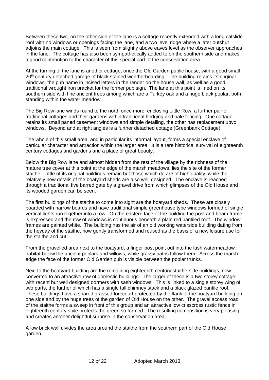Between these two, on the other side of the lane is a cottage recently extended with a long catslide roof with no windows or openings facing the lane, and a two level ridge where a later outshut adjoins the main cottage. This is seen from slightly above eaves level as the observer approaches in the lane. The cottage has also been sympathetically added to on the southern side and makes a good contribution to the character of this special part of the conservation area.

At the turning of the lane is another cottage, once the Old Garden public house, with a good small 20<sup>th</sup> century detached garage of black stained weatherboarding. The building retains its original windows, the pub name in incised letters in the render on the house wall, as well as a good traditional wrought iron bracket for the former pub sign. The lane at this point is lined on its southern side with fine ancient trees among which are a Turkey oak and a huge black poplar, both standing within the water meadow.

The Big Row lane winds round to the north once more, enclosing Little Row, a further pair of traditional cottages and their gardens within traditional hedging and pale fencing. One cottage retains its small paned casement windows and simple detailing, the other has replacement upvc windows. Beyond and at right angles is a further detached cottage (Greenbank Cottage).

The whole of this small area, and in particular its informal layout, forms a special enclave of particular character and attraction within the larger area. It is a rare historical survival of eighteenth century cottages and gardens and a place of great beauty.

Below the Big Row lane and almost hidden from the rest of the village by the richness of the mature tree cover at this point at the edge of the marsh meadows, lies the site of the former staithe. Little of its original buildings remain but those which do are of high quality, while the relatively new details of the boatyard sheds are also well designed. The enclave is reached through a traditional five barred gate by a gravel drive from which glimpses of the Old House and its wooded garden can be seen.

The first buildings of the staithe to come into sight are the boatyard sheds. These are closely boarded with narrow boards and have traditional simple greenhouse type windows formed of single vertical lights run together into a row. On the eastern face of the building the post and beam frame is expressed and the row of windows is continuous beneath a plain red pantiled roof. The window frames are painted white. The building has the air of an old working waterside building dating from the heyday of the staithe, now gently transformed and reused as the basis of a new leisure use for the staithe and cut.

From the gravelled area next to the boatyard, a finger post point out into the lush watermeadow habitat below the ancient poplars and willows, while grassy paths follow them. Across the marsh edge the face of the former Old Garden pub is visible between the poplar trunks.

Next to the boatyard building are the remaining eighteenth century staithe-side buildings, now converted to an attractive row of domestic buildings. The larger of these is a two storey cottage with recent but well designed dormers with sash windows. This is linked to a single storey wing of two parts, the further of which has a single tall chimney stack and a black glazed pantile roof. These buildings have a shared grassed forecourt protected by the flank of the boatyard building on one side and by the huge trees of the garden of Old House on the other. The gravel access road of the staithe forms a sweep in front of this group and an attractive low crisscross rustic fence in eighteenth century style protects the green so formed. The resulting composition is very pleasing and creates another delightful surprise in the conservation area.

A low brick wall divides the area around the staithe from the southern part of the Old House garden.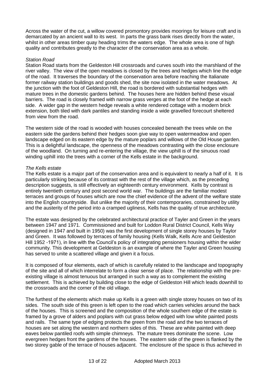Across the water of the cut, a willow covered promontory provides moorings for leisure craft and is demarcated by an ancient wall to its west. In parts the grass bank rises directly from the water, whilst in other areas timber quay heading trims the waters edge. The whole area is one of high quality and contributes greatly to the character of the conservation area as a whole.

## *Station Road*

Station Road starts from the Geldeston Hill crossroads and curves south into the marshland of the river valley. The view of the open meadows is closed by the trees and hedges which line the edge of the road. It traverses the boundary of the conservation area before reaching the Italianate former railway station buildings and goods shed, the site now isolated in the water meadows. At the junction with the foot of Geldeston Hill, the road is bordered with substantial hedges with mature trees in the domestic gardens behind. The houses here are hidden behind these visual barriers. The road is closely framed with narrow grass verges at the foot of the hedge at each side. A wider gap in the western hedge reveals a white rendered cottage with a modern brick extension, both tiled with dark pantiles and standing inside a wide gravelled forecourt sheltered from view from the road.

The western side of the road is wooded with houses concealed beneath the trees while on the eastern side the gardens behind their hedges soon give way to open watermeadow and open landscape edged on its eastern edge by the mature poplars and willows of the Old House garden. This is a delightful landscape, the openness of the meadows contrasting with the close enclosure of the woodland. On turning and re-entering the village, the view uphill is of the sinuous road winding uphill into the trees with a corner of the Kells estate in the background.

## *The Kells estate*

The Kells estate is a major part of the conservation area and is equivalent to nearly a half of it. It is particularly striking because of its contrast with the rest of the village which, as the preceding description suggests, is still effectively an eighteenth century environment. Kells by contrast is entirely twentieth century and post second world war. The buildings are the familiar modest terraces and groups of houses which are now the chief evidence of the advent of the welfare state into the English countryside. But unlike the majority of their contemporaries, constrained by utility and the austerity of the period into a cramped ugliness, Kells has the quality of true architecture.

The estate was designed by the celebrated architectural practice of Tayler and Green in the years between 1947 and 1971. Commissioned and built for Loddon Rural District Council, Kells Way (designed in 1947 and built in 1950) was the first development of single storey houses by Taylor and Green. It was followed by terraces of family housing (Kells Walk, Kells Acre and Geldeston Hill 1952 -1971), in line with the Council's policy of integrating pensioners housing within the wider community. This development at Geldeston is an example of where the Tayler and Green housing has served to unite a scattered village and given it a focus.

It is composed of four elements, each of which is carefully related to the landscape and topography of the site and all of which interrelate to form a clear sense of place. The relationship with the preexisting village is almost tenuous but arranged in such a way as to complement the existing settlement. This is achieved by building close to the edge of Geldeston Hill which leads downhill to the crossroads and the corner of the old village.

The furthest of the elements which make up Kells is a green with single storey houses on two of its sides. The south side of this green is left open to the road which carries vehicles around the back of the houses. This is screened and the composition of the whole southern edge of the estate is framed by a grove of alders and poplars with cut grass below edged with low white painted posts and rails. The same type of edging protects the green from the road and the two terraces of houses are set along the western and northern sides of this. These are white painted with deep eaves below pantiled roofs with simple chimneys. The mature trees dominate the scene. Low evergreen hedges front the gardens of the houses. The eastern side of the green is flanked by the two storey gable of the terrace of houses adjacent. The enclosure of the space is thus achieved in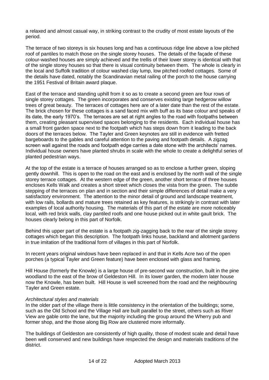a relaxed and almost casual way, in striking contrast to the crudity of most estate layouts of the period.

The terrace of two storeys is six houses long and has a continuous ridge line above a low pitched roof of pantiles to match those on the single storey houses. The details of the façade of these colour-washed houses are simply achieved and the trellis of their lower storey is identical with that of the single storey houses so that there is visual continuity between them. The whole is clearly in the local and Suffolk tradition of colour washed clay lump, low pitched roofed cottages. Some of the details have dated, notably the Scandinavian metal railing of the porch to the house carrying the 1951 Festival of Britain award plaque.

East of the terrace and standing uphill from it so as to create a second green are four rows of single storey cottages. The green incorporates and conserves existing large hedgerow willow trees of great beauty. The terraces of cottages here are of a later date than the rest of the estate. The brick chosen for these cottages is a sand faced mix with buff as its base colour and speaks of its date, the early 1970's. The terraces are set at right angles to the road with footpaths between them, creating pleasant supervised spaces belonging to the residents. Each individual house has a small front garden space next to the footpath which has steps down from it leading to the back doors of the terraces below. The Tayler and Green keynotes are still in evidence with fretted bargeboards to the gables and careful attention to the paving and footpath details. A zigzag screen wall against the roads and footpath edge carries a date stone with the architects' names. Individual house owners have planted shrubs in scale with the whole to create a delightful series of planted pedestrian ways.

At the top of the estate is a terrace of houses arranged so as to enclose a further green, sloping gently downhill. This is open to the road on the east and is enclosed by the north wall of the single storey terrace cottages. At the western edge of the green, another short terrace of three houses encloses Kells Walk and creates a short street which closes the vista from the green. The subtle stepping of the terraces on plan and in section and their simple differences of detail make a very satisfactory environment. The attention to the minor detail of ground and landscape treatment, with low rails, bollards and mature trees retained as key features, is strikingly in contrast with later examples of local authority housing. The materials of this part of the estate are more noticeably local, with red brick walls, clay pantiled roofs and one house picked out in white gault brick. The houses clearly belong in this part of Norfolk.

Behind this upper part of the estate is a footpath zig-zagging back to the rear of the single storey cottages which began this description. The footpath links house, backland and allotment gardens in true imitation of the traditional form of villages in this part of Norfolk.

In recent years original windows have been replaced in and that in Kells Acre two of the open porches (a typical Tayler and Green feature) have been enclosed with glass and framing.

Hill House (formerly the Knowle) is a large house of pre-second war construction, built in the pine woodland to the east of the brow of Geldeston Hill. In its lower garden, the modern later house now the Knowle, has been built. Hill House is well screened from the road and the neighbouring Tayler and Green estate.

#### *Architectural styles and materials*

In the older part of the village there is little consistency in the orientation of the buildings; some, such as the Old School and the Village Hall are built parallel to the street, others such as River View are gable onto the lane, but the majority including the group around the Wherry pub and former shop, and the those along Big Row are clustered more informally.

The buildings of Geldeston are consistently of high quality, those of modest scale and detail have been well conserved and new buildings have respected the design and materials traditions of the district.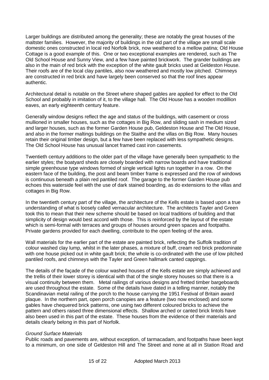Larger buildings are distributed among the generality; these are notably the great houses of the maltster families. However, the majority of buildings in the old part of the village are small scale domestic ones constructed in local red Norfolk brick, now weathered to a mellow patina; Old House Cottage is a good example of this. One or two exceptional examples are rendered, such as The Old School House and Sunny View, and a few have painted brickwork. The grander buildings are also in the main of red brick with the exception of the white gault bricks used at Geldeston House. Their roofs are of the local clay pantiles, also now weathered and mostly low pitched. Chimneys are constructed in red brick and have largely been conserved so that the roof lines appear authentic.

Architectural detail is notable on the Street where shaped gables are applied for effect to the Old School and probably in imitation of it, to the village hall. The Old House has a wooden modillion eaves, an early eighteenth century feature.

Generally window designs reflect the age and status of the buildings, with casement or cross mullioned in smaller houses, such as the cottages in Big Row, and sliding sash in medium sized and larger houses, such as the former Garden House pub, Geldeston House and The Old House, and also in the former maltings buildings on the Staithe and the villas on Big Row. Many houses retain their original timber design, but a few have been replaced with less sympathetic designs. The Old School House has unusual lancet framed cast iron casements.

Twentieth century additions to the older part of the village have generally been sympathetic to the earlier styles; the boatyard sheds are closely boarded with narrow boards and have traditional simple greenhouse type windows formed of single vertical lights run together in a row. On the eastern face of the building, the post and beam timber frame is expressed and the row of windows is continuous beneath a plain red pantiled roof. The garage to the former Garden House pub echoes this waterside feel with the use of dark stained boarding, as do extensions to the villas and cottages in Big Row.

In the twentieth century part of the village, the architecture of the Kells estate is based upon a true understanding of what is loosely called vernacular architecture. The architects Tayler and Green took this to mean that their new scheme should be based on local traditions of building and that simplicity of design would best accord with those. This is reinforced by the layout of the estate which is semi-formal with terraces and groups of houses around green spaces and footpaths. Private gardens provided for each dwelling, contribute to the open feeling of the area.

Wall materials for the earlier part of the estate are painted brick, reflecting the Suffolk tradition of colour washed clay lump, whilst in the later phases, a mixture of buff, cream red brick predominate with one house picked out in white gault brick; the whole is co-ordinated with the use of low pitched pantiled roofs, and chimneys with the Tayler and Green hallmark canted cappings.

The details of the façade of the colour washed houses of the Kells estate are simply achieved and the trellis of their lower storey is identical with that of the single storey houses so that there is a visual continuity between them. Metal railings of various designs and fretted timber bargeboards are used throughout the estate. Some of the details have dated in a telling manner, notably the Scandinavian metal railing of the porch to the house carrying the 1951 Festival of Britain award plaque. In the northern part, open porch canopies are a feature (two now enclosed) and some gables have chequered brick patterns, one using two different coloured bricks to achieve the pattern and others raised three dimensional effects. Shallow arched or canted brick lintols have also been used in this part of the estate. These houses from the evidence of their materials and details clearly belong in this part of Norfolk.

## *Ground Surface Materials*

Public roads and pavements are, without exception, of tarmacadam, and footpaths have been kept to a minimum, on one side of Geldeston Hill and The Street and none at all in Station Road and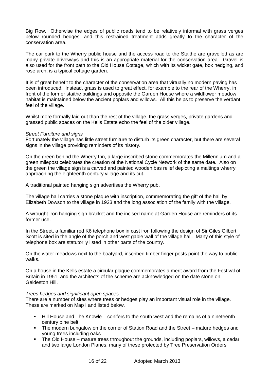Big Row. Otherwise the edges of public roads tend to be relatively informal with grass verges below rounded hedges, and this restrained treatment adds greatly to the character of the conservation area.

The car park to the Wherry public house and the access road to the Staithe are gravelled as are many private driveways and this is an appropriate material for the conservation area. Gravel is also used for the front path to the Old House Cottage, which with its wicket gate, box hedging, and rose arch, is a typical cottage garden.

It is of great benefit to the character of the conservation area that virtually no modern paving has been introduced. Instead, grass is used to great effect, for example to the rear of the Wherry, in front of the former staithe buildings and opposite the Garden House where a wildflower meadow habitat is maintained below the ancient poplars and willows. All this helps to preserve the verdant feel of the village.

Whilst more formally laid out than the rest of the village, the grass verges, private gardens and grassed public spaces on the Kells Estate echo the feel of the older village.

## *Street Furniture and signs*

Fortunately the village has little street furniture to disturb its green character, but there are several signs in the village providing reminders of its history.

On the green behind the Wherry Inn, a large inscribed stone commemorates the Millennium and a green milepost celebrates the creation of the National Cycle Network of the same date*.* Also on the green the village sign is a carved and painted wooden bas relief depicting a maltings wherry approaching the eighteenth century village and its cut.

A traditional painted hanging sign advertises the Wherry pub.

The village hall carries a stone plaque with inscription, commemorating the gift of the hall by Elizabeth Dowson to the village in 1923 and the long association of the family with the village.

A wrought iron hanging sign bracket and the incised name at Garden House are reminders of its former use.

In the Street, a familiar red K6 telephone box in cast iron following the design of Sir Giles Gilbert Scott is sited in the angle of the porch and west gable wall of the village hall. Many of this style of telephone box are statutorily listed in other parts of the country.

On the water meadows next to the boatyard, inscribed timber finger posts point the way to public walks.

On a house in the Kells estate a circular plaque commemorates a merit award from the Festival of Britain in 1951, and the architects of the scheme are acknowledged on the date stone on Geldeston Hill.

#### *Trees hedges and significant open spaces*

There are a number of sites where trees or hedges play an important visual role in the village. These are marked on Map I and listed below.

- Hill House and The Knowle conifers to the south west and the remains of a nineteenth century pine belt
- The modern bungalow on the corner of Station Road and the Street mature hedges and young trees including oaks
- The Old House mature trees throughout the grounds, including poplars, willows, a cedar and two large London Planes, many of these protected by Tree Preservation Orders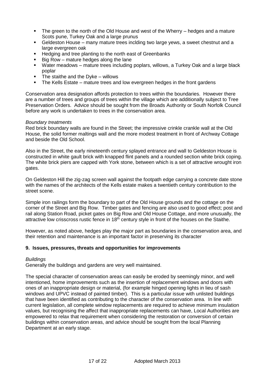- The green to the north of the Old House and west of the Wherry hedges and a mature Scots pune, Turkey Oak and a large prunus
- Geldeston House many mature trees inclding two large yews, a sweet chestnut and a large evergreen oak
- Hedging and tree planting to the north east of Greenbanks
- $\blacksquare$  Big Row mature hedges along the lane
- Water meadows mature trees including poplars, willows, a Turkey Oak and a large black poplar
- $\blacksquare$  The staithe and the Dyke willows
- The Kells Estate mature trees and low evergreen hedges in the front gardens

Conservation area designation affords protection to trees within the boundaries. However there are a number of trees and groups of trees within the village which are additionally subject to Tree Preservation Orders. Advice should be sought from the Broads Authority or South Norfolk Council before any work is undertaken to trees in the conservation area.

## *Boundary treatments*

Red brick boundary walls are found in the Street; the impressive crinkle crankle wall at the Old House, the solid former maltings wall and the more modest treatment in front of Archway Cottage and beside the Old School.

Also in the Street, the early nineteenth century splayed entrance and wall to Geldeston House is constructed in white gault brick with knapped flint panels and a rounded section white brick coping. The white brick piers are capped with York stone, between which is a set of attractive wrought iron gates.

On Geldeston Hill the zig-zag screen wall against the footpath edge carrying a concrete date stone with the names of the architects of the Kells estate makes a twentieth century contribution to the street scene.

Simple iron railings form the boundary to part of the Old House grounds and the cottage on the corner of the Street and Big Row. Timber gates and fencing are also used to good effect; post and rail along Station Road, picket gates on Big Row and Old House Cottage, and more unusually, the attractive low crisscross rustic fence in  $18<sup>th</sup>$  century style in front of the houses on the Staithe.

However, as noted above, hedges play the major part as boundaries in the conservation area, and their retention and maintenance is an important factor in preserving its character

## **9. Issues, pressures, threats and opportunities for improvements**

## *Buildings*

Generally the buildings and gardens are very well maintained.

The special character of conservation areas can easily be eroded by seemingly minor, and well intentioned, home improvements such as the insertion of replacement windows and doors with ones of an inappropriate design or material, (for example hinged opening lights in lieu of sash windows and UPVC instead of painted timber). This is a particular issue with unlisted buildings that have been identified as contributing to the character of the conservation area. In line with current legislation, all complete window replacements are required to achieve minimum insulation values, but recognising the affect that inappropriate replacements can have, Local Authorities are empowered to relax that requirement when considering the restoration or conversion of certain buildings within conservation areas, and advice should be sought from the local Planning Department at an early stage.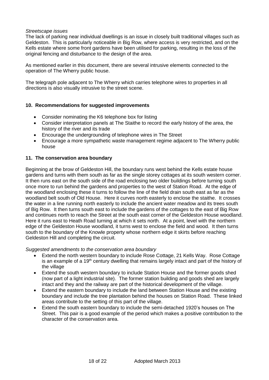## *Streetscape issues*

The lack of parking near individual dwellings is an issue in closely built traditional villages such as Geldeston. This is particularly noticeable in Big Row, where access is very restricted, and on the Kells estate where some front gardens have been utilised for parking, resulting in the loss of the original fencing and disturbance to the design of the area.

As mentioned earlier in this document, there are several intrusive elements connected to the operation of The Wherry public house.

The telegraph pole adjacent to The Wherry which carries telephone wires to properties in all directions is also visually intrusive to the street scene.

## **10. Recommendations for suggested improvements**

- Consider nominating the K6 telephone box for listing
- Consider interpretation panels at The Staithe to record the early history of the area, the history of the river and its trade
- Encourage the undergrounding of telephone wires in The Street
- Encourage a more sympathetic waste management regime adjacent to The Wherry public house

## **11. The conservation area boundary**

Beginning at the brow of Geldeston Hill, the boundary runs west behind the Kells estate house gardens and turns with them south as far as the single storey cottages at its south western corner. It then runs east on the south side of the road enclosing two older buildings before turning south once more to run behind the gardens and properties to the west of Station Road. At the edge of the woodland enclosing these it turns to follow the line of the field drain south east as far as the woodland belt south of Old House. Here it curves north easterly to enclose the staithe. It crosses the water in a line running north easterly to include the ancient water meadow and its trees south of Big Row. It then turns south east to include the gardens of the cottages to the east of Big Row and continues north to reach the Street at the south east corner of the Geldeston House woodland. Here it runs east to Heath Road turning at which it sets north. At a point, level with the northern edge of the Geldeston House woodland, it turns west to enclose the field and wood. It then turns south to the boundary of the Knowle property whose northern edge it skirts before reaching Geldeston Hill and completing the circuit.

*Suggested amendments to the conservation area boundary*

- Extend the north western boundary to include Rose Cottage, 21 Kells Way. Rose Cottage is an example of a 19<sup>th</sup> century dwelling that remains largely intact and part of the history of the village
- Extend the south western boundary to include Station House and the former goods shed (now part of a light industrial site). The former station building and goods shed are largely intact and they and the railway are part of the historical development of the village.
- Extend the eastern boundary to include the land between Station House and the existing boundary and include the tree plantation behind the houses on Station Road. These linked areas contribute to the setting of this part of the village.
- Extend the south eastern boundary to include the semi-detached 1920's houses on The Street. This pair is a good example of the period which makes a positive contribution to the character of the conservation area.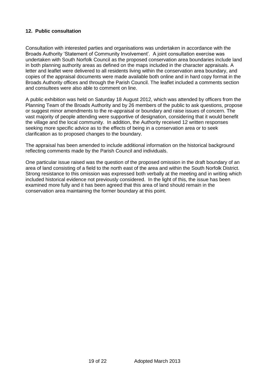## **12. Public consultation**

Consultation with interested parties and organisations was undertaken in accordance with the Broads Authority 'Statement of Community Involvement'. A joint consultation exercise was undertaken with South Norfolk Council as the proposed conservation area boundaries include land in both planning authority areas as defined on the maps included in the character appraisals. A letter and leaflet were delivered to all residents living within the conservation area boundary, and copies of the appraisal documents were made available both online and in hard copy format in the Broads Authority offices and through the Parish Council. The leaflet included a comments section and consultees were also able to comment on line.

A public exhibition was held on Saturday 18 August 2012, which was attended by officers from the Planning Team of the Broads Authority and by 26 members of the public to ask questions, propose or suggest minor amendments to the re-appraisal or boundary and raise issues of concern. The vast majority of people attending were supportive of designation, considering that it would benefit the village and the local community. In addition, the Authority received 12 written responses seeking more specific advice as to the effects of being in a conservation area or to seek clarification as to proposed changes to the boundary.

The appraisal has been amended to include additional information on the historical background reflecting comments made by the Parish Council and individuals.

One particular issue raised was the question of the proposed omission in the draft boundary of an area of land consisting of a field to the north east of the area and within the South Norfolk District. Strong resistance to this omission was expressed both verbally at the meeting and in writing which included historical evidence not previously considered. In the light of this, the issue has been examined more fully and it has been agreed that this area of land should remain in the conservation area maintaining the former boundary at this point.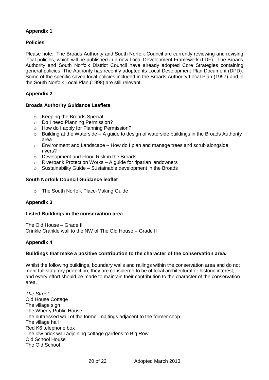# **Appendix 1**

## **Policies**

Please note: The Broads Authority and South Norfolk Council are currently reviewing and revising local policies, which will be published in a new Local Development Framework (LDF). The Broads Authority and South Norfolk District Council have already adopted Core Strategies containing general policies. The Authority has recently adopted its Local Development Plan Document (DPD). Some of the specific saved local policies included in the Broads Authority Local Plan (1997) and in the South Norfolk Local Plan (1998) are still relevant.

# **Appendix 2**

## **Broads Authority Guidance Leaflets**

- o Keeping the Broads Special
- o Do I need Planning Permission?
- o How do I apply for Planning Permission?
- $\circ$  Building at the Waterside A guide to design of waterside buildings in the Broads Authority area
- o Environment and Landscape How do I plan and manage trees and scrub alongside rivers?
- o Development and Flood Risk in the Broads
- $\circ$  Riverbank Protection Works A guide for riparian landowners
- $\circ$  Sustainability Guide Sustainable development in the Broads

## **South Norfolk Council Guidance leaflet**

o The South Norfolk Place-Making Guide

## **Appendix 3**

## **Listed Buildings in the conservation area**

The Old House – Grade II Crinkle Crankle wall to the NW of The Old House – Grade II

## **Appendix 4**

## **Buildings that make a positive contribution to the character of the conservation area.**

Whilst the following buildings, boundary walls and railings within the conservation area and do not merit full statutory protection, they are considered to be of local architectural or historic interest, and every effort should be made to maintain their contribution to the character of the conservation area.

*The Street* Old House Cottage The village sign The Wherry Public House The buttressed wall of the former maltings adjacent to the former shop The village hall Red K6 telephone box The low brick wall adjoining cottage gardens to Big Row Old School House The Old School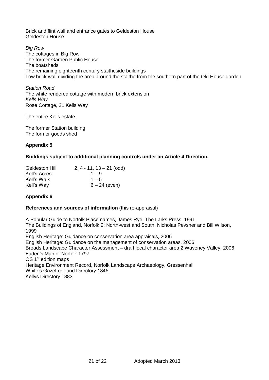Brick and flint wall and entrance gates to Geldeston House Geldeston House

*Big Row* The cottages in Big Row The former Garden Public House The boatsheds The remaining eighteenth century staitheside buildings Low brick wall dividing the area around the staithe from the southern part of the Old House garden

*Station Road* The white rendered cottage with modern brick extension *Kells Way* Rose Cottage, 21 Kells Way

The entire Kells estate.

The former Station building The former goods shed

# **Appendix 5**

## **Buildings subject to additional planning controls under an Article 4 Direction.**

| Geldeston Hill | $2, 4 - 11, 13 - 21$ (odd) |
|----------------|----------------------------|
| Kell's Acres   | $1 - 9$                    |
| Kell's Walk    | $1 - 5$                    |
| Kell's Way     | $6 - 24$ (even)            |

## **Appendix 6**

## **References and sources of information** (this re-appraisal)

A Popular Guide to Norfolk Place names, James Rye, The Larks Press, 1991 The Buildings of England, Norfolk 2: North-west and South, Nicholas Pevsner and Bill Wilson, 1999 English Heritage: Guidance on conservation area appraisals, 2006 English Heritage: Guidance on the management of conservation areas, 2006 Broads Landscape Character Assessment – draft local character area 2 Waveney Valley, 2006 Faden's Map of Norfolk 1797 OS 1<sup>st</sup> edition maps Heritage Environment Record, Norfolk Landscape Archaeology, Gressenhall White's Gazetteer and Directory 1845 Kellys Directory 1883